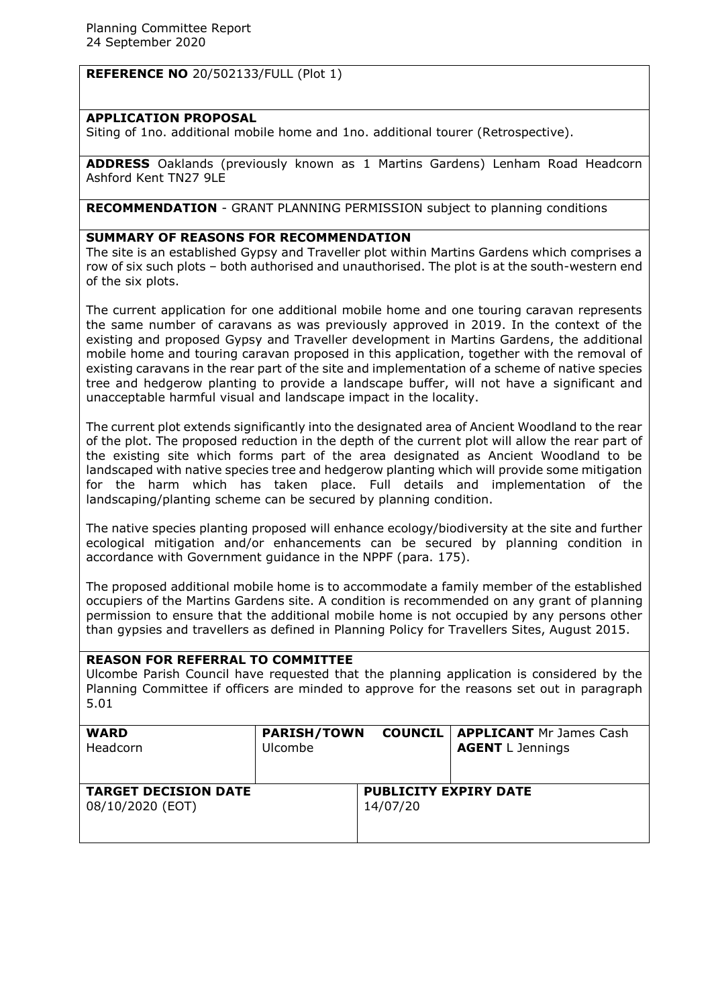**REFERENCE NO** 20/502133/FULL (Plot 1)

# **APPLICATION PROPOSAL**

Siting of 1no. additional mobile home and 1no. additional tourer (Retrospective).

**ADDRESS** Oaklands (previously known as 1 Martins Gardens) Lenham Road Headcorn Ashford Kent TN27 9LE

**RECOMMENDATION** - GRANT PLANNING PERMISSION subject to planning conditions

# **SUMMARY OF REASONS FOR RECOMMENDATION**

The site is an established Gypsy and Traveller plot within Martins Gardens which comprises a row of six such plots – both authorised and unauthorised. The plot is at the south-western end of the six plots.

The current application for one additional mobile home and one touring caravan represents the same number of caravans as was previously approved in 2019. In the context of the existing and proposed Gypsy and Traveller development in Martins Gardens, the additional mobile home and touring caravan proposed in this application, together with the removal of existing caravans in the rear part of the site and implementation of a scheme of native species tree and hedgerow planting to provide a landscape buffer, will not have a significant and unacceptable harmful visual and landscape impact in the locality.

The current plot extends significantly into the designated area of Ancient Woodland to the rear of the plot. The proposed reduction in the depth of the current plot will allow the rear part of the existing site which forms part of the area designated as Ancient Woodland to be landscaped with native species tree and hedgerow planting which will provide some mitigation for the harm which has taken place. Full details and implementation of the landscaping/planting scheme can be secured by planning condition.

The native species planting proposed will enhance ecology/biodiversity at the site and further ecological mitigation and/or enhancements can be secured by planning condition in accordance with Government guidance in the NPPF (para. 175).

The proposed additional mobile home is to accommodate a family member of the established occupiers of the Martins Gardens site. A condition is recommended on any grant of planning permission to ensure that the additional mobile home is not occupied by any persons other than gypsies and travellers as defined in Planning Policy for Travellers Sites, August 2015.

# **REASON FOR REFERRAL TO COMMITTEE**

Ulcombe Parish Council have requested that the planning application is considered by the Planning Committee if officers are minded to approve for the reasons set out in paragraph 5.01

| <b>WARD</b>                                     | <b>PARISH/TOWN</b> |                                          | <b>COUNCIL   APPLICANT</b> Mr James Cash |
|-------------------------------------------------|--------------------|------------------------------------------|------------------------------------------|
| Headcorn                                        | <b>Ulcombe</b>     |                                          | <b>AGENT</b> L Jennings                  |
| <b>TARGET DECISION DATE</b><br>08/10/2020 (EOT) |                    | <b>PUBLICITY EXPIRY DATE</b><br>14/07/20 |                                          |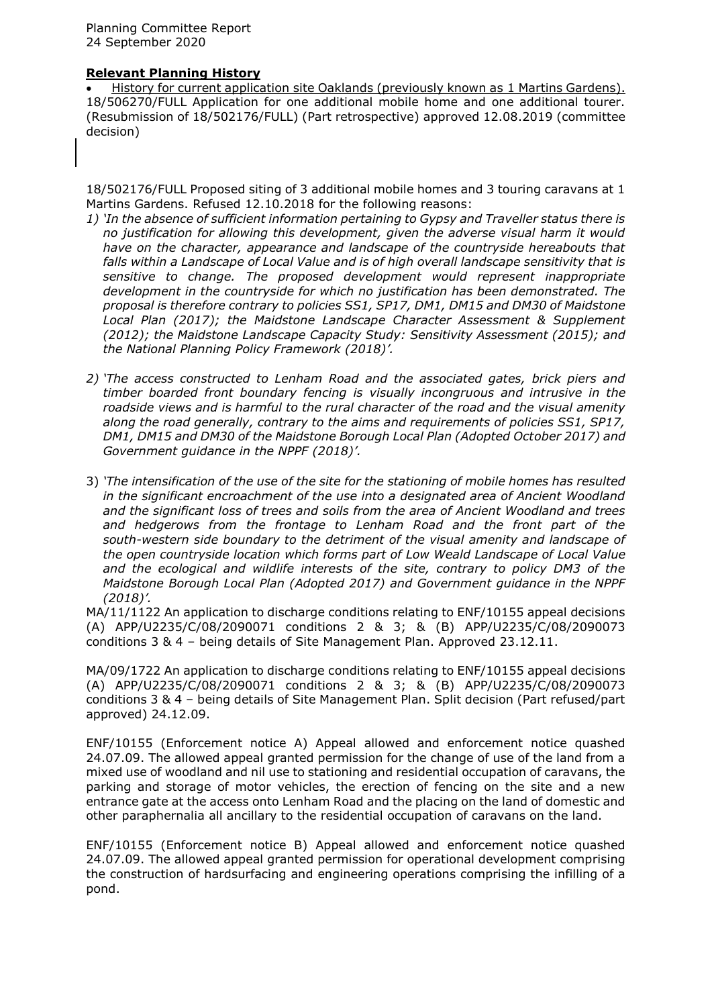#### **Relevant Planning History**

 History for current application site Oaklands (previously known as 1 Martins Gardens). 18/506270/FULL Application for one additional mobile home and one additional tourer. (Resubmission of 18/502176/FULL) (Part retrospective) approved 12.08.2019 (committee decision)

18/502176/FULL Proposed siting of 3 additional mobile homes and 3 touring caravans at 1 Martins Gardens. Refused 12.10.2018 for the following reasons:

- *1) 'In the absence of sufficient information pertaining to Gypsy and Traveller status there is no justification for allowing this development, given the adverse visual harm it would have on the character, appearance and landscape of the countryside hereabouts that falls within a Landscape of Local Value and is of high overall landscape sensitivity that is sensitive to change. The proposed development would represent inappropriate development in the countryside for which no justification has been demonstrated. The proposal is therefore contrary to policies SS1, SP17, DM1, DM15 and DM30 of Maidstone Local Plan (2017); the Maidstone Landscape Character Assessment & Supplement (2012); the Maidstone Landscape Capacity Study: Sensitivity Assessment (2015); and the National Planning Policy Framework (2018)'.*
- *2) 'The access constructed to Lenham Road and the associated gates, brick piers and timber boarded front boundary fencing is visually incongruous and intrusive in the roadside views and is harmful to the rural character of the road and the visual amenity along the road generally, contrary to the aims and requirements of policies SS1, SP17, DM1, DM15 and DM30 of the Maidstone Borough Local Plan (Adopted October 2017) and Government guidance in the NPPF (2018)'.*
- 3) *'The intensification of the use of the site for the stationing of mobile homes has resulted in the significant encroachment of the use into a designated area of Ancient Woodland and the significant loss of trees and soils from the area of Ancient Woodland and trees and hedgerows from the frontage to Lenham Road and the front part of the south-western side boundary to the detriment of the visual amenity and landscape of the open countryside location which forms part of Low Weald Landscape of Local Value and the ecological and wildlife interests of the site, contrary to policy DM3 of the Maidstone Borough Local Plan (Adopted 2017) and Government guidance in the NPPF (2018)'.*

MA/11/1122 An application to discharge conditions relating to ENF/10155 appeal decisions (A) APP/U2235/C/08/2090071 conditions 2 & 3; & (B) APP/U2235/C/08/2090073 conditions 3 & 4 – being details of Site Management Plan. Approved 23.12.11.

MA/09/1722 An application to discharge conditions relating to ENF/10155 appeal decisions (A) APP/U2235/C/08/2090071 conditions 2 & 3; & (B) APP/U2235/C/08/2090073 conditions 3 & 4 – being details of Site Management Plan. Split decision (Part refused/part approved) 24.12.09.

ENF/10155 (Enforcement notice A) Appeal allowed and enforcement notice quashed 24.07.09. The allowed appeal granted permission for the change of use of the land from a mixed use of woodland and nil use to stationing and residential occupation of caravans, the parking and storage of motor vehicles, the erection of fencing on the site and a new entrance gate at the access onto Lenham Road and the placing on the land of domestic and other paraphernalia all ancillary to the residential occupation of caravans on the land.

ENF/10155 (Enforcement notice B) Appeal allowed and enforcement notice quashed 24.07.09. The allowed appeal granted permission for operational development comprising the construction of hardsurfacing and engineering operations comprising the infilling of a pond.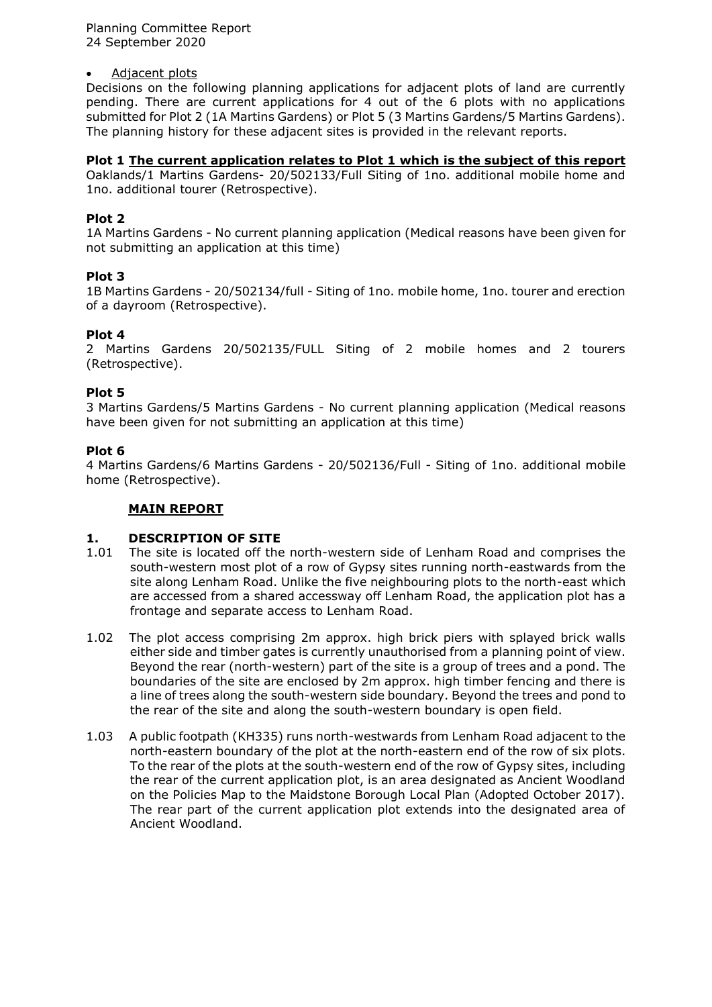Planning Committee Report 24 September 2020

#### Adjacent plots

Decisions on the following planning applications for adjacent plots of land are currently pending. There are current applications for 4 out of the 6 plots with no applications submitted for Plot 2 (1A Martins Gardens) or Plot 5 (3 Martins Gardens/5 Martins Gardens). The planning history for these adjacent sites is provided in the relevant reports.

#### **Plot 1 The current application relates to Plot 1 which is the subject of this report**

Oaklands/1 Martins Gardens- 20/502133/Full Siting of 1no. additional mobile home and 1no. additional tourer (Retrospective).

#### **Plot 2**

1A Martins Gardens - No current planning application (Medical reasons have been given for not submitting an application at this time)

# **Plot 3**

1B Martins Gardens - 20/502134/full - Siting of 1no. mobile home, 1no. tourer and erection of a dayroom (Retrospective).

#### **Plot 4**

2 Martins Gardens 20/502135/FULL Siting of 2 mobile homes and 2 tourers (Retrospective).

# **Plot 5**

3 Martins Gardens/5 Martins Gardens - No current planning application (Medical reasons have been given for not submitting an application at this time)

#### **Plot 6**

4 Martins Gardens/6 Martins Gardens - 20/502136/Full - Siting of 1no. additional mobile home (Retrospective).

# **MAIN REPORT**

# **1. DESCRIPTION OF SITE**<br>1.01 The site is located off the

- The site is located off the north-western side of Lenham Road and comprises the south-western most plot of a row of Gypsy sites running north-eastwards from the site along Lenham Road. Unlike the five neighbouring plots to the north-east which are accessed from a shared accessway off Lenham Road, the application plot has a frontage and separate access to Lenham Road.
- 1.02 The plot access comprising 2m approx. high brick piers with splayed brick walls either side and timber gates is currently unauthorised from a planning point of view. Beyond the rear (north-western) part of the site is a group of trees and a pond. The boundaries of the site are enclosed by 2m approx. high timber fencing and there is a line of trees along the south-western side boundary. Beyond the trees and pond to the rear of the site and along the south-western boundary is open field.
- 1.03 A public footpath (KH335) runs north-westwards from Lenham Road adjacent to the north-eastern boundary of the plot at the north-eastern end of the row of six plots. To the rear of the plots at the south-western end of the row of Gypsy sites, including the rear of the current application plot, is an area designated as Ancient Woodland on the Policies Map to the Maidstone Borough Local Plan (Adopted October 2017). The rear part of the current application plot extends into the designated area of Ancient Woodland.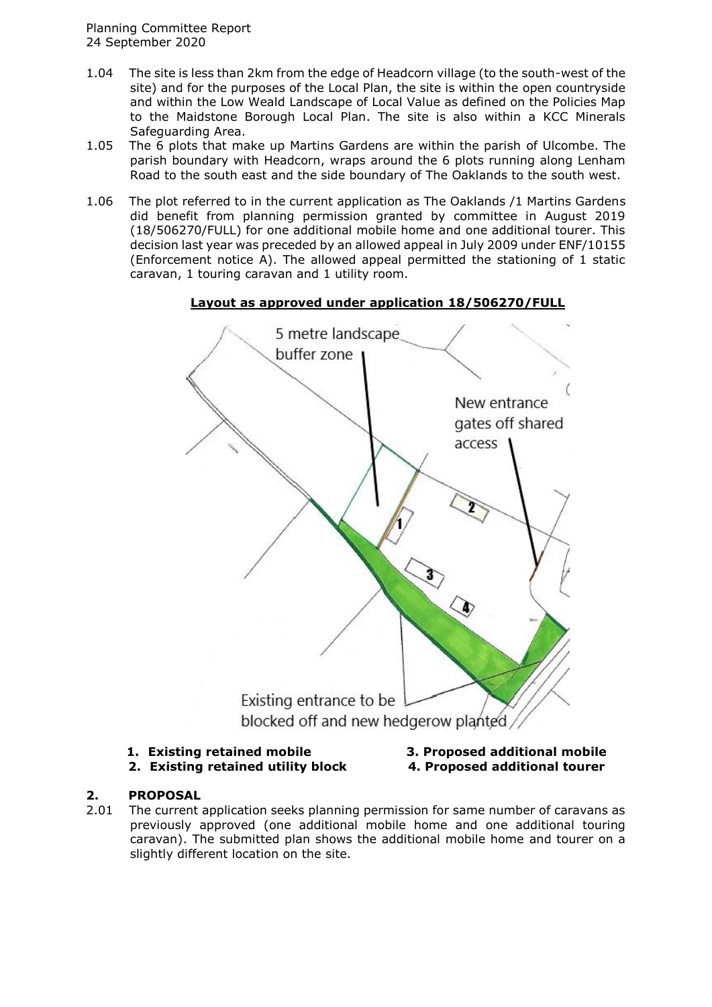- 1.04 The site is less than 2km from the edge of Headcorn village (to the south-west of the site) and for the purposes of the Local Plan, the site is within the open countryside and within the Low Weald Landscape of Local Value as defined on the Policies Map to the Maidstone Borough Local Plan. The site is also within a KCC Minerals Safeguarding Area.
- 1.05 The 6 plots that make up Martins Gardens are within the parish of Ulcombe. The parish boundary with Headcorn, wraps around the 6 plots running along Lenham Road to the south east and the side boundary of The Oaklands to the south west.
- 1.06 The plot referred to in the current application as The Oaklands /1 Martins Gardens did benefit from planning permission granted by committee in August 2019 (18/506270/FULL) for one additional mobile home and one additional tourer. This decision last year was preceded by an allowed appeal in July 2009 under ENF/10155 (Enforcement notice A). The allowed appeal permitted the stationing of 1 static caravan, 1 touring caravan and 1 utility room.



# **Layout as approved under application 18/506270/FULL**

#### **1. Existing retained mobile 3. Proposed additional mobile 2. Existing retained utility block 4. Proposed additional tourer**

# **2. PROPOSAL**

2.01 The current application seeks planning permission for same number of caravans as previously approved (one additional mobile home and one additional touring caravan). The submitted plan shows the additional mobile home and tourer on a slightly different location on the site.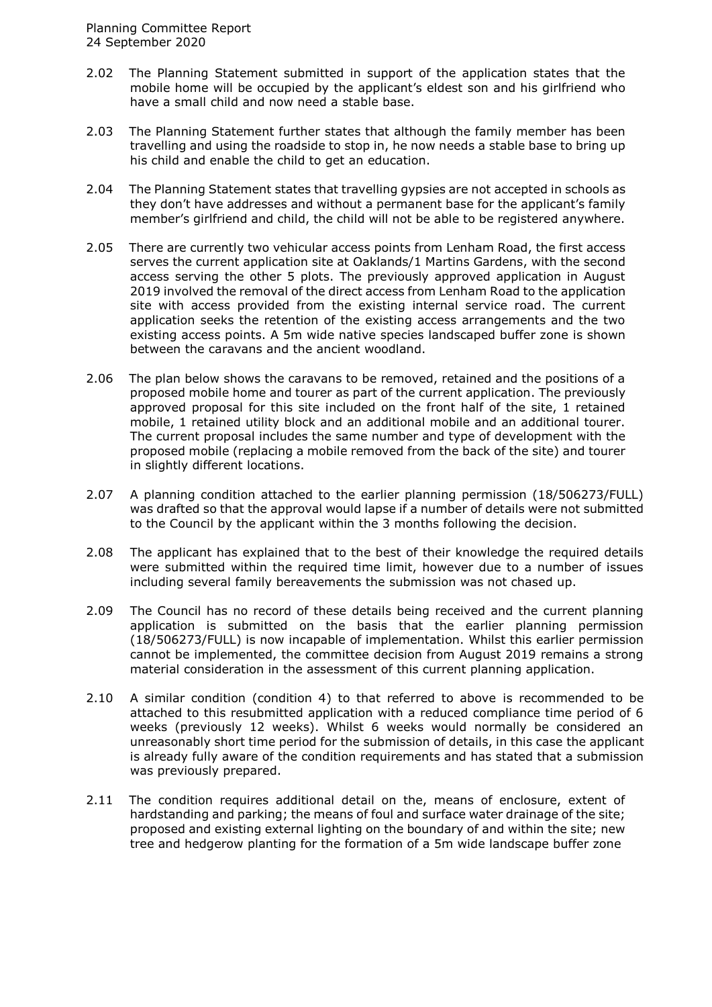- 2.02 The Planning Statement submitted in support of the application states that the mobile home will be occupied by the applicant's eldest son and his girlfriend who have a small child and now need a stable base.
- 2.03 The Planning Statement further states that although the family member has been travelling and using the roadside to stop in, he now needs a stable base to bring up his child and enable the child to get an education.
- 2.04 The Planning Statement states that travelling gypsies are not accepted in schools as they don't have addresses and without a permanent base for the applicant's family member's girlfriend and child, the child will not be able to be registered anywhere.
- 2.05 There are currently two vehicular access points from Lenham Road, the first access serves the current application site at Oaklands/1 Martins Gardens, with the second access serving the other 5 plots. The previously approved application in August 2019 involved the removal of the direct access from Lenham Road to the application site with access provided from the existing internal service road. The current application seeks the retention of the existing access arrangements and the two existing access points. A 5m wide native species landscaped buffer zone is shown between the caravans and the ancient woodland.
- 2.06 The plan below shows the caravans to be removed, retained and the positions of a proposed mobile home and tourer as part of the current application. The previously approved proposal for this site included on the front half of the site, 1 retained mobile, 1 retained utility block and an additional mobile and an additional tourer. The current proposal includes the same number and type of development with the proposed mobile (replacing a mobile removed from the back of the site) and tourer in slightly different locations.
- 2.07 A planning condition attached to the earlier planning permission (18/506273/FULL) was drafted so that the approval would lapse if a number of details were not submitted to the Council by the applicant within the 3 months following the decision.
- 2.08 The applicant has explained that to the best of their knowledge the required details were submitted within the required time limit, however due to a number of issues including several family bereavements the submission was not chased up.
- 2.09 The Council has no record of these details being received and the current planning application is submitted on the basis that the earlier planning permission (18/506273/FULL) is now incapable of implementation. Whilst this earlier permission cannot be implemented, the committee decision from August 2019 remains a strong material consideration in the assessment of this current planning application.
- 2.10 A similar condition (condition 4) to that referred to above is recommended to be attached to this resubmitted application with a reduced compliance time period of 6 weeks (previously 12 weeks). Whilst 6 weeks would normally be considered an unreasonably short time period for the submission of details, in this case the applicant is already fully aware of the condition requirements and has stated that a submission was previously prepared.
- 2.11 The condition requires additional detail on the, means of enclosure, extent of hardstanding and parking; the means of foul and surface water drainage of the site; proposed and existing external lighting on the boundary of and within the site; new tree and hedgerow planting for the formation of a 5m wide landscape buffer zone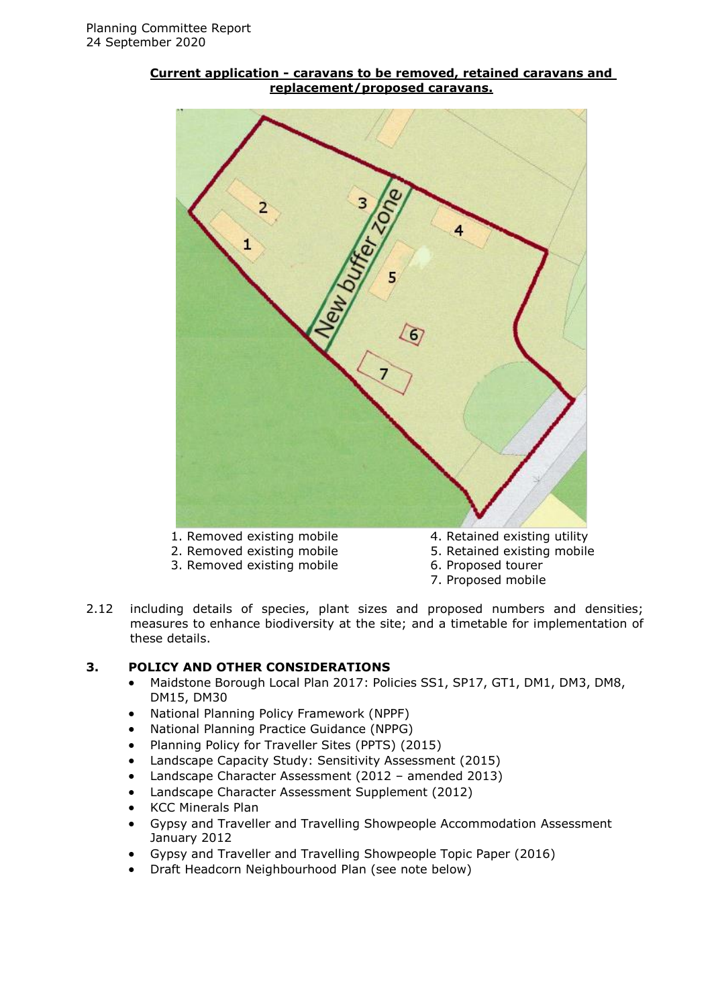# 5 6 1. Removed existing mobile 4. Retained existing utility 2. Removed existing mobile 5. Retained existing mobile

#### **Current application - caravans to be removed, retained caravans and replacement/proposed caravans.**

- 
- 3. Removed existing mobile 6. Proposed tourer
- -
	- 7. Proposed mobile
- 2.12 including details of species, plant sizes and proposed numbers and densities; measures to enhance biodiversity at the site; and a timetable for implementation of these details.

# **3. POLICY AND OTHER CONSIDERATIONS**

- Maidstone Borough Local Plan 2017: Policies SS1, SP17, GT1, DM1, DM3, DM8, DM15, DM30
- National Planning Policy Framework (NPPF)
- National Planning Practice Guidance (NPPG)
- Planning Policy for Traveller Sites (PPTS) (2015)
- Landscape Capacity Study: Sensitivity Assessment (2015)
- Landscape Character Assessment (2012 amended 2013)
- Landscape Character Assessment Supplement (2012)
- KCC Minerals Plan
- Gypsy and Traveller and Travelling Showpeople Accommodation Assessment January 2012
- Gypsy and Traveller and Travelling Showpeople Topic Paper (2016)
- Draft Headcorn Neighbourhood Plan (see note below)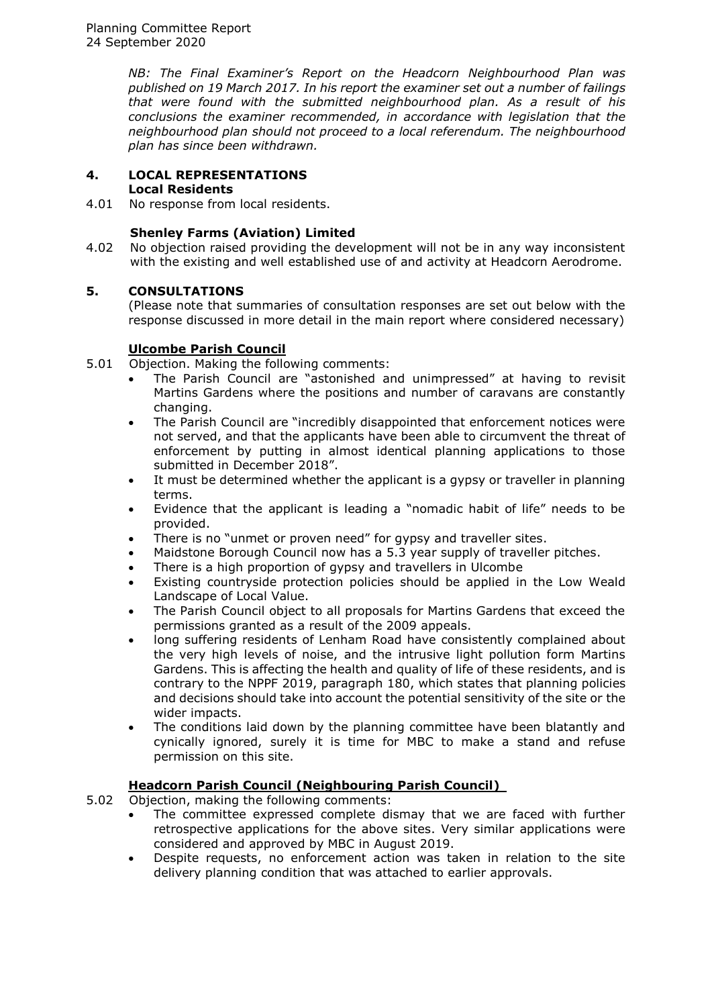*NB: The Final Examiner's Report on the Headcorn Neighbourhood Plan was published on 19 March 2017. In his report the examiner set out a number of failings that were found with the submitted neighbourhood plan. As a result of his conclusions the examiner recommended, in accordance with legislation that the neighbourhood plan should not proceed to a local referendum. The neighbourhood plan has since been withdrawn.*

# **4. LOCAL REPRESENTATIONS**

# **Local Residents**

4.01 No response from local residents.

# **Shenley Farms (Aviation) Limited**

4.02 No objection raised providing the development will not be in any way inconsistent with the existing and well established use of and activity at Headcorn Aerodrome.

# **5. CONSULTATIONS**

(Please note that summaries of consultation responses are set out below with the response discussed in more detail in the main report where considered necessary)

# **Ulcombe Parish Council**

- 5.01 Objection. Making the following comments:
	- The Parish Council are "astonished and unimpressed" at having to revisit Martins Gardens where the positions and number of caravans are constantly changing.
	- The Parish Council are "incredibly disappointed that enforcement notices were not served, and that the applicants have been able to circumvent the threat of enforcement by putting in almost identical planning applications to those submitted in December 2018".
	- It must be determined whether the applicant is a gypsy or traveller in planning terms.
	- Evidence that the applicant is leading a "nomadic habit of life" needs to be provided.
	- There is no "unmet or proven need" for gypsy and traveller sites.
	- Maidstone Borough Council now has a 5.3 year supply of traveller pitches.
	- There is a high proportion of gypsy and travellers in Ulcombe
	- Existing countryside protection policies should be applied in the Low Weald Landscape of Local Value.
	- The Parish Council object to all proposals for Martins Gardens that exceed the permissions granted as a result of the 2009 appeals.
	- long suffering residents of Lenham Road have consistently complained about the very high levels of noise, and the intrusive light pollution form Martins Gardens. This is affecting the health and quality of life of these residents, and is contrary to the NPPF 2019, paragraph 180, which states that planning policies and decisions should take into account the potential sensitivity of the site or the wider impacts.
	- The conditions laid down by the planning committee have been blatantly and cynically ignored, surely it is time for MBC to make a stand and refuse permission on this site.

# **Headcorn Parish Council (Neighbouring Parish Council)**

5.02 Objection, making the following comments:

- The committee expressed complete dismay that we are faced with further retrospective applications for the above sites. Very similar applications were considered and approved by MBC in August 2019.
- Despite requests, no enforcement action was taken in relation to the site delivery planning condition that was attached to earlier approvals.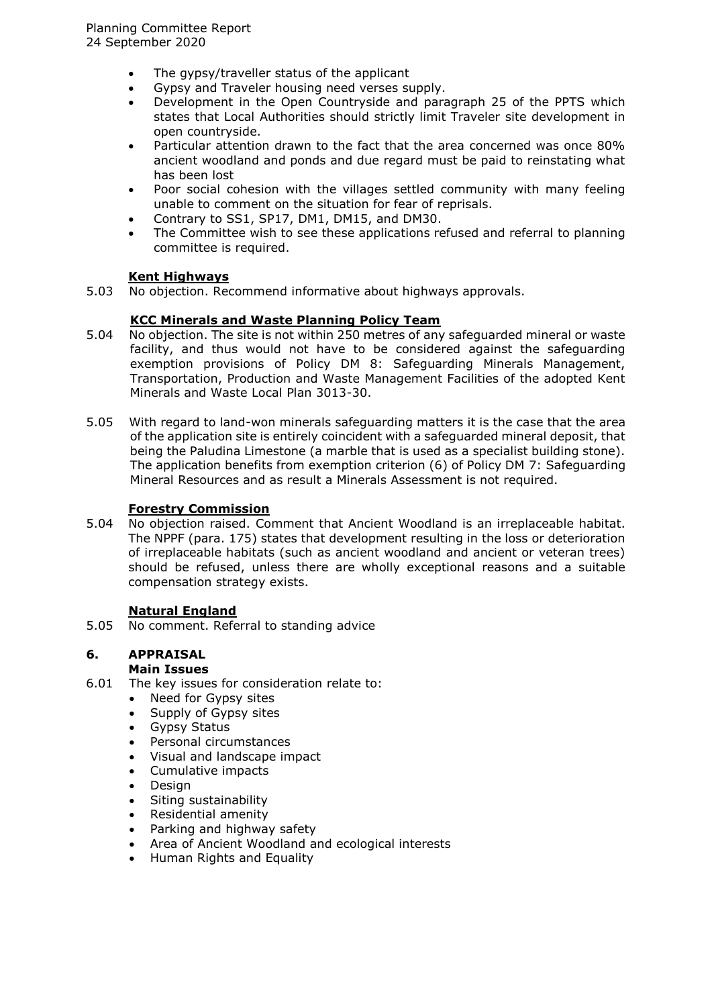- The gypsy/traveller status of the applicant
- Gypsy and Traveler housing need verses supply.
- Development in the Open Countryside and paragraph 25 of the PPTS which states that Local Authorities should strictly limit Traveler site development in open countryside.
- Particular attention drawn to the fact that the area concerned was once 80% ancient woodland and ponds and due regard must be paid to reinstating what has been lost
- Poor social cohesion with the villages settled community with many feeling unable to comment on the situation for fear of reprisals.
- Contrary to SS1, SP17, DM1, DM15, and DM30.
- The Committee wish to see these applications refused and referral to planning committee is required.

# **Kent Highways**

5.03 No objection. Recommend informative about highways approvals.

#### **KCC Minerals and Waste Planning Policy Team**

- 5.04 No objection. The site is not within 250 metres of any safeguarded mineral or waste facility, and thus would not have to be considered against the safeguarding exemption provisions of Policy DM 8: Safeguarding Minerals Management, Transportation, Production and Waste Management Facilities of the adopted Kent Minerals and Waste Local Plan 3013-30.
- 5.05 With regard to land-won minerals safeguarding matters it is the case that the area of the application site is entirely coincident with a safeguarded mineral deposit, that being the Paludina Limestone (a marble that is used as a specialist building stone). The application benefits from exemption criterion (6) of Policy DM 7: Safeguarding Mineral Resources and as result a Minerals Assessment is not required.

#### **Forestry Commission**

5.04 No objection raised. Comment that Ancient Woodland is an irreplaceable habitat. The NPPF (para. 175) states that development resulting in the loss or deterioration of irreplaceable habitats (such as ancient woodland and ancient or veteran trees) should be refused, unless there are wholly exceptional reasons and a suitable compensation strategy exists.

#### **Natural England**

5.05 No comment. Referral to standing advice

# **6. APPRAISAL**

#### **Main Issues**

- 6.01 The key issues for consideration relate to:
	- Need for Gypsy sites
	- Supply of Gypsy sites
	- Gypsy Status
	- Personal circumstances
	- Visual and landscape impact
	- Cumulative impacts
	- Design
	- Siting sustainability
	- Residential amenity
	- Parking and highway safety
	- Area of Ancient Woodland and ecological interests
	- Human Rights and Equality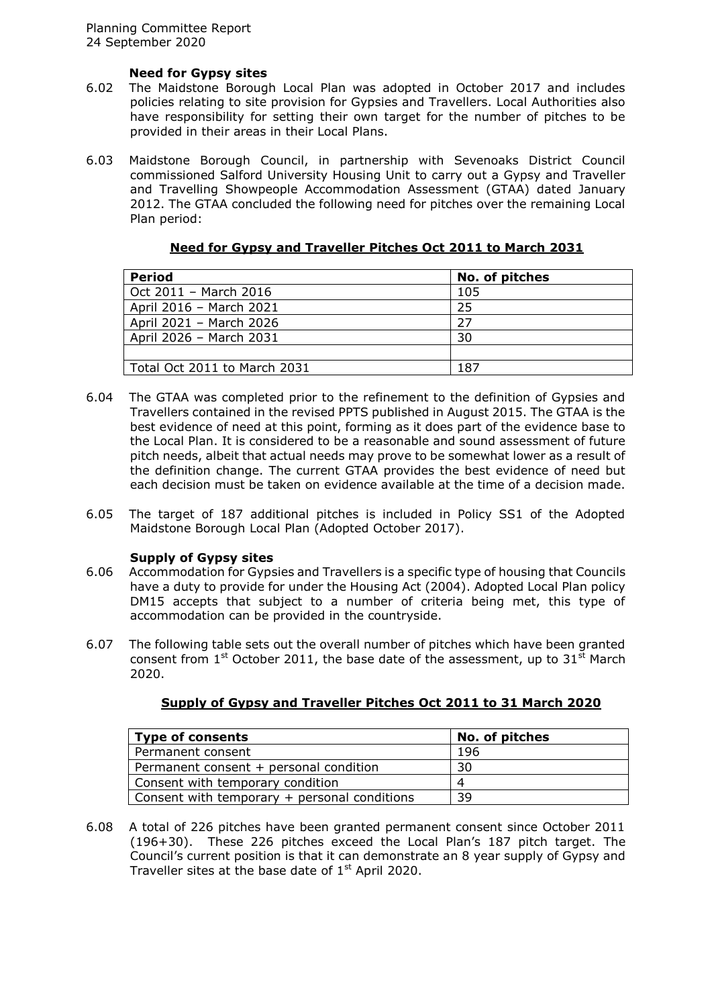# **Need for Gypsy sites**

- 6.02 The Maidstone Borough Local Plan was adopted in October 2017 and includes policies relating to site provision for Gypsies and Travellers. Local Authorities also have responsibility for setting their own target for the number of pitches to be provided in their areas in their Local Plans.
- 6.03 Maidstone Borough Council, in partnership with Sevenoaks District Council commissioned Salford University Housing Unit to carry out a Gypsy and Traveller and Travelling Showpeople Accommodation Assessment (GTAA) dated January 2012. The GTAA concluded the following need for pitches over the remaining Local Plan period:

| <b>Period</b>                | No. of pitches |
|------------------------------|----------------|
| Oct 2011 - March 2016        | 105            |
| April 2016 - March 2021      | -25            |
| April 2021 - March 2026      | 27             |
| April 2026 - March 2031      | 30             |
|                              |                |
| Total Oct 2011 to March 2031 | 187            |

#### **Need for Gypsy and Traveller Pitches Oct 2011 to March 2031**

- 6.04 The GTAA was completed prior to the refinement to the definition of Gypsies and Travellers contained in the revised PPTS published in August 2015. The GTAA is the best evidence of need at this point, forming as it does part of the evidence base to the Local Plan. It is considered to be a reasonable and sound assessment of future pitch needs, albeit that actual needs may prove to be somewhat lower as a result of the definition change. The current GTAA provides the best evidence of need but each decision must be taken on evidence available at the time of a decision made.
- 6.05 The target of 187 additional pitches is included in Policy SS1 of the Adopted Maidstone Borough Local Plan (Adopted October 2017).

#### **Supply of Gypsy sites**

- 6.06 Accommodation for Gypsies and Travellers is a specific type of housing that Councils have a duty to provide for under the Housing Act (2004). Adopted Local Plan policy DM15 accepts that subject to a number of criteria being met, this type of accommodation can be provided in the countryside.
- 6.07 The following table sets out the overall number of pitches which have been granted consent from  $1<sup>st</sup>$  October 2011, the base date of the assessment, up to 31<sup>st</sup> March 2020.

| <b>Type of consents</b>                      | No. of pitches |
|----------------------------------------------|----------------|
| Permanent consent                            | 196            |
| Permanent consent + personal condition       | 30             |
| Consent with temporary condition             | $\Delta$       |
| Consent with temporary + personal conditions | 39             |

#### **Supply of Gypsy and Traveller Pitches Oct 2011 to 31 March 2020**

6.08 A total of 226 pitches have been granted permanent consent since October 2011 (196+30). These 226 pitches exceed the Local Plan's 187 pitch target. The Council's current position is that it can demonstrate an 8 year supply of Gypsy and Traveller sites at the base date of  $1<sup>st</sup>$  April 2020.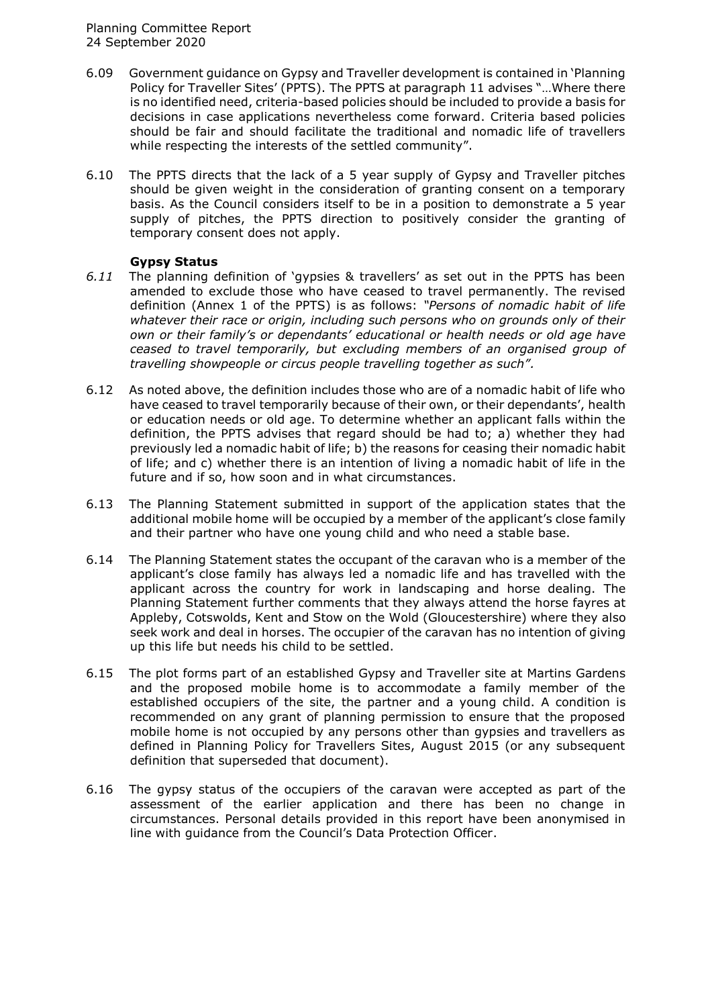- 6.09 Government guidance on Gypsy and Traveller development is contained in 'Planning Policy for Traveller Sites' (PPTS). The PPTS at paragraph 11 advises "…Where there is no identified need, criteria-based policies should be included to provide a basis for decisions in case applications nevertheless come forward. Criteria based policies should be fair and should facilitate the traditional and nomadic life of travellers while respecting the interests of the settled community".
- 6.10 The PPTS directs that the lack of a 5 year supply of Gypsy and Traveller pitches should be given weight in the consideration of granting consent on a temporary basis. As the Council considers itself to be in a position to demonstrate a 5 year supply of pitches, the PPTS direction to positively consider the granting of temporary consent does not apply.

# **Gypsy Status**

- *6.11* The planning definition of 'gypsies & travellers' as set out in the PPTS has been amended to exclude those who have ceased to travel permanently. The revised definition (Annex 1 of the PPTS) is as follows: *"Persons of nomadic habit of life whatever their race or origin, including such persons who on grounds only of their own or their family's or dependants' educational or health needs or old age have ceased to travel temporarily, but excluding members of an organised group of travelling showpeople or circus people travelling together as such".*
- 6.12 As noted above, the definition includes those who are of a nomadic habit of life who have ceased to travel temporarily because of their own, or their dependants', health or education needs or old age. To determine whether an applicant falls within the definition, the PPTS advises that regard should be had to; a) whether they had previously led a nomadic habit of life; b) the reasons for ceasing their nomadic habit of life; and c) whether there is an intention of living a nomadic habit of life in the future and if so, how soon and in what circumstances.
- 6.13 The Planning Statement submitted in support of the application states that the additional mobile home will be occupied by a member of the applicant's close family and their partner who have one young child and who need a stable base.
- 6.14 The Planning Statement states the occupant of the caravan who is a member of the applicant's close family has always led a nomadic life and has travelled with the applicant across the country for work in landscaping and horse dealing. The Planning Statement further comments that they always attend the horse fayres at Appleby, Cotswolds, Kent and Stow on the Wold (Gloucestershire) where they also seek work and deal in horses. The occupier of the caravan has no intention of giving up this life but needs his child to be settled.
- 6.15 The plot forms part of an established Gypsy and Traveller site at Martins Gardens and the proposed mobile home is to accommodate a family member of the established occupiers of the site, the partner and a young child. A condition is recommended on any grant of planning permission to ensure that the proposed mobile home is not occupied by any persons other than gypsies and travellers as defined in Planning Policy for Travellers Sites, August 2015 (or any subsequent definition that superseded that document).
- 6.16 The gypsy status of the occupiers of the caravan were accepted as part of the assessment of the earlier application and there has been no change in circumstances. Personal details provided in this report have been anonymised in line with guidance from the Council's Data Protection Officer.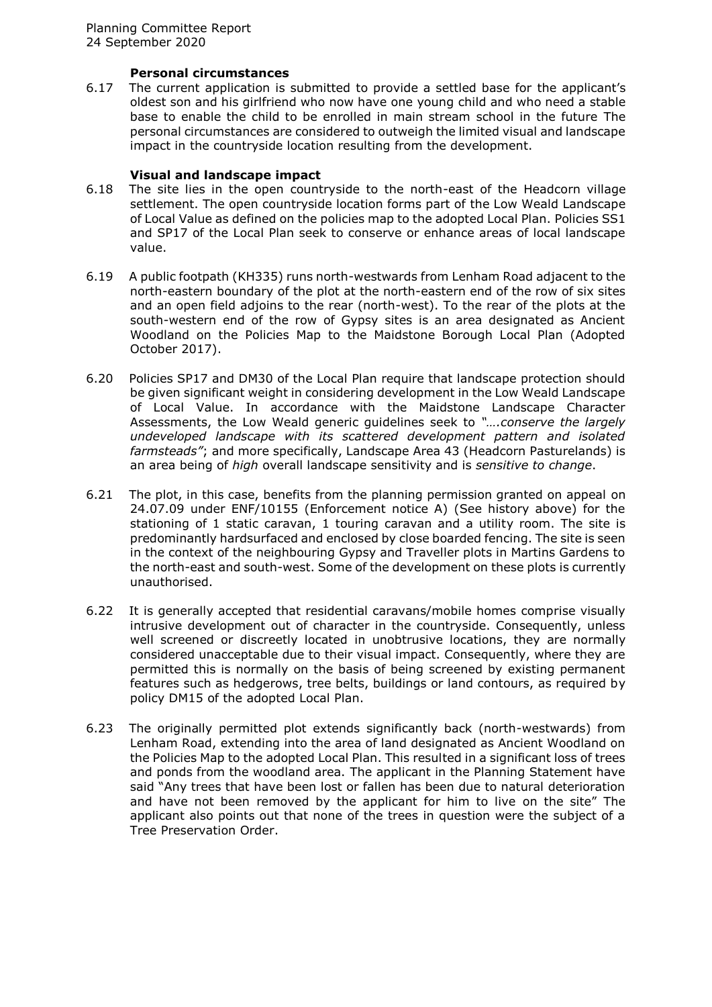#### **Personal circumstances**

6.17 The current application is submitted to provide a settled base for the applicant's oldest son and his girlfriend who now have one young child and who need a stable base to enable the child to be enrolled in main stream school in the future The personal circumstances are considered to outweigh the limited visual and landscape impact in the countryside location resulting from the development.

# **Visual and landscape impact**

- 6.18 The site lies in the open countryside to the north-east of the Headcorn village settlement. The open countryside location forms part of the Low Weald Landscape of Local Value as defined on the policies map to the adopted Local Plan. Policies SS1 and SP17 of the Local Plan seek to conserve or enhance areas of local landscape value.
- 6.19 A public footpath (KH335) runs north-westwards from Lenham Road adjacent to the north-eastern boundary of the plot at the north-eastern end of the row of six sites and an open field adjoins to the rear (north-west). To the rear of the plots at the south-western end of the row of Gypsy sites is an area designated as Ancient Woodland on the Policies Map to the Maidstone Borough Local Plan (Adopted October 2017).
- 6.20 Policies SP17 and DM30 of the Local Plan require that landscape protection should be given significant weight in considering development in the Low Weald Landscape of Local Value. In accordance with the Maidstone Landscape Character Assessments, the Low Weald generic guidelines seek to *"….conserve the largely undeveloped landscape with its scattered development pattern and isolated farmsteads"*; and more specifically, Landscape Area 43 (Headcorn Pasturelands) is an area being of *high* overall landscape sensitivity and is *sensitive to change*.
- 6.21 The plot, in this case, benefits from the planning permission granted on appeal on 24.07.09 under ENF/10155 (Enforcement notice A) (See history above) for the stationing of 1 static caravan, 1 touring caravan and a utility room. The site is predominantly hardsurfaced and enclosed by close boarded fencing. The site is seen in the context of the neighbouring Gypsy and Traveller plots in Martins Gardens to the north-east and south-west. Some of the development on these plots is currently unauthorised.
- 6.22 It is generally accepted that residential caravans/mobile homes comprise visually intrusive development out of character in the countryside. Consequently, unless well screened or discreetly located in unobtrusive locations, they are normally considered unacceptable due to their visual impact. Consequently, where they are permitted this is normally on the basis of being screened by existing permanent features such as hedgerows, tree belts, buildings or land contours, as required by policy DM15 of the adopted Local Plan.
- 6.23 The originally permitted plot extends significantly back (north-westwards) from Lenham Road, extending into the area of land designated as Ancient Woodland on the Policies Map to the adopted Local Plan. This resulted in a significant loss of trees and ponds from the woodland area. The applicant in the Planning Statement have said "Any trees that have been lost or fallen has been due to natural deterioration and have not been removed by the applicant for him to live on the site" The applicant also points out that none of the trees in question were the subject of a Tree Preservation Order.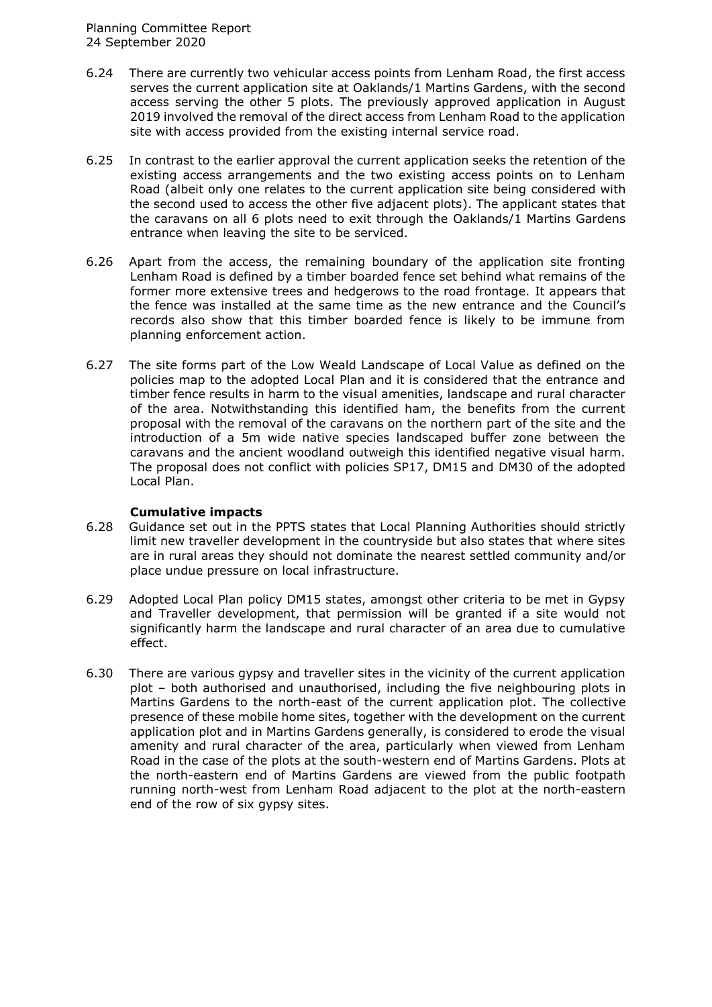- 6.24 There are currently two vehicular access points from Lenham Road, the first access serves the current application site at Oaklands/1 Martins Gardens, with the second access serving the other 5 plots. The previously approved application in August 2019 involved the removal of the direct access from Lenham Road to the application site with access provided from the existing internal service road.
- 6.25 In contrast to the earlier approval the current application seeks the retention of the existing access arrangements and the two existing access points on to Lenham Road (albeit only one relates to the current application site being considered with the second used to access the other five adjacent plots). The applicant states that the caravans on all 6 plots need to exit through the Oaklands/1 Martins Gardens entrance when leaving the site to be serviced.
- 6.26 Apart from the access, the remaining boundary of the application site fronting Lenham Road is defined by a timber boarded fence set behind what remains of the former more extensive trees and hedgerows to the road frontage. It appears that the fence was installed at the same time as the new entrance and the Council's records also show that this timber boarded fence is likely to be immune from planning enforcement action.
- 6.27 The site forms part of the Low Weald Landscape of Local Value as defined on the policies map to the adopted Local Plan and it is considered that the entrance and timber fence results in harm to the visual amenities, landscape and rural character of the area. Notwithstanding this identified ham, the benefits from the current proposal with the removal of the caravans on the northern part of the site and the introduction of a 5m wide native species landscaped buffer zone between the caravans and the ancient woodland outweigh this identified negative visual harm. The proposal does not conflict with policies SP17, DM15 and DM30 of the adopted Local Plan.

#### **Cumulative impacts**

- 6.28 Guidance set out in the PPTS states that Local Planning Authorities should strictly limit new traveller development in the countryside but also states that where sites are in rural areas they should not dominate the nearest settled community and/or place undue pressure on local infrastructure.
- 6.29 Adopted Local Plan policy DM15 states, amongst other criteria to be met in Gypsy and Traveller development, that permission will be granted if a site would not significantly harm the landscape and rural character of an area due to cumulative effect.
- 6.30 There are various gypsy and traveller sites in the vicinity of the current application plot – both authorised and unauthorised, including the five neighbouring plots in Martins Gardens to the north-east of the current application plot. The collective presence of these mobile home sites, together with the development on the current application plot and in Martins Gardens generally, is considered to erode the visual amenity and rural character of the area, particularly when viewed from Lenham Road in the case of the plots at the south-western end of Martins Gardens. Plots at the north-eastern end of Martins Gardens are viewed from the public footpath running north-west from Lenham Road adjacent to the plot at the north-eastern end of the row of six gypsy sites.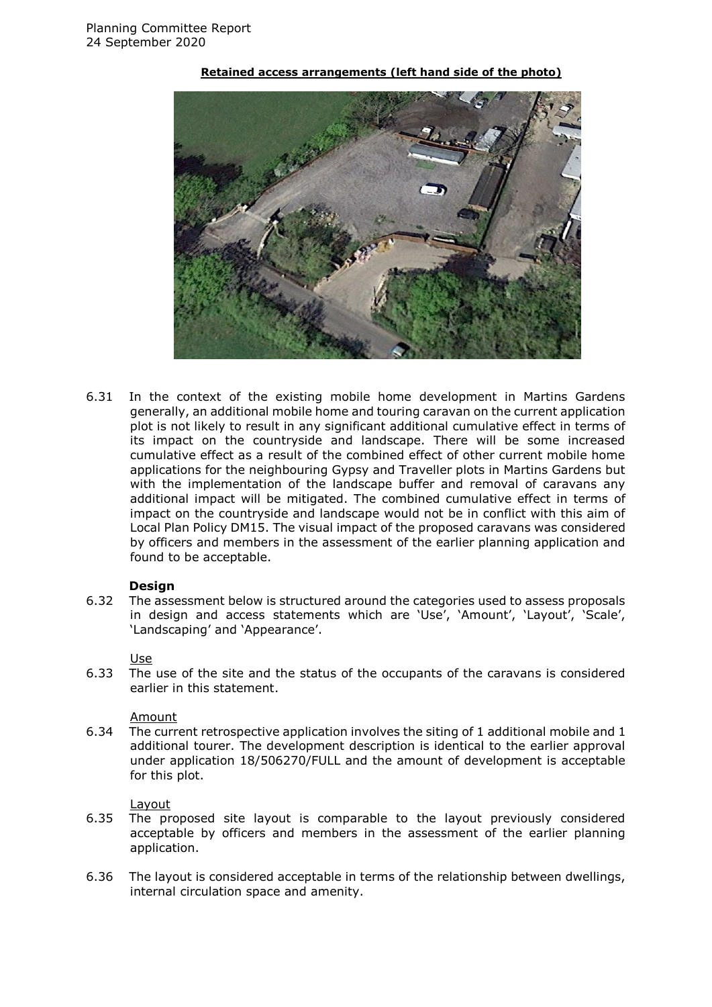

#### **Retained access arrangements (left hand side of the photo)**

6.31 In the context of the existing mobile home development in Martins Gardens generally, an additional mobile home and touring caravan on the current application plot is not likely to result in any significant additional cumulative effect in terms of its impact on the countryside and landscape. There will be some increased cumulative effect as a result of the combined effect of other current mobile home applications for the neighbouring Gypsy and Traveller plots in Martins Gardens but with the implementation of the landscape buffer and removal of caravans any additional impact will be mitigated. The combined cumulative effect in terms of impact on the countryside and landscape would not be in conflict with this aim of Local Plan Policy DM15. The visual impact of the proposed caravans was considered by officers and members in the assessment of the earlier planning application and found to be acceptable.

#### **Design**

6.32 The assessment below is structured around the categories used to assess proposals in design and access statements which are 'Use', 'Amount', 'Layout', 'Scale', 'Landscaping' and 'Appearance'.

#### Use

6.33 The use of the site and the status of the occupants of the caravans is considered earlier in this statement.

#### Amount

6.34 The current retrospective application involves the siting of 1 additional mobile and 1 additional tourer. The development description is identical to the earlier approval under application 18/506270/FULL and the amount of development is acceptable for this plot.

#### **Layout**

- 6.35 The proposed site layout is comparable to the layout previously considered acceptable by officers and members in the assessment of the earlier planning application.
- 6.36 The layout is considered acceptable in terms of the relationship between dwellings, internal circulation space and amenity.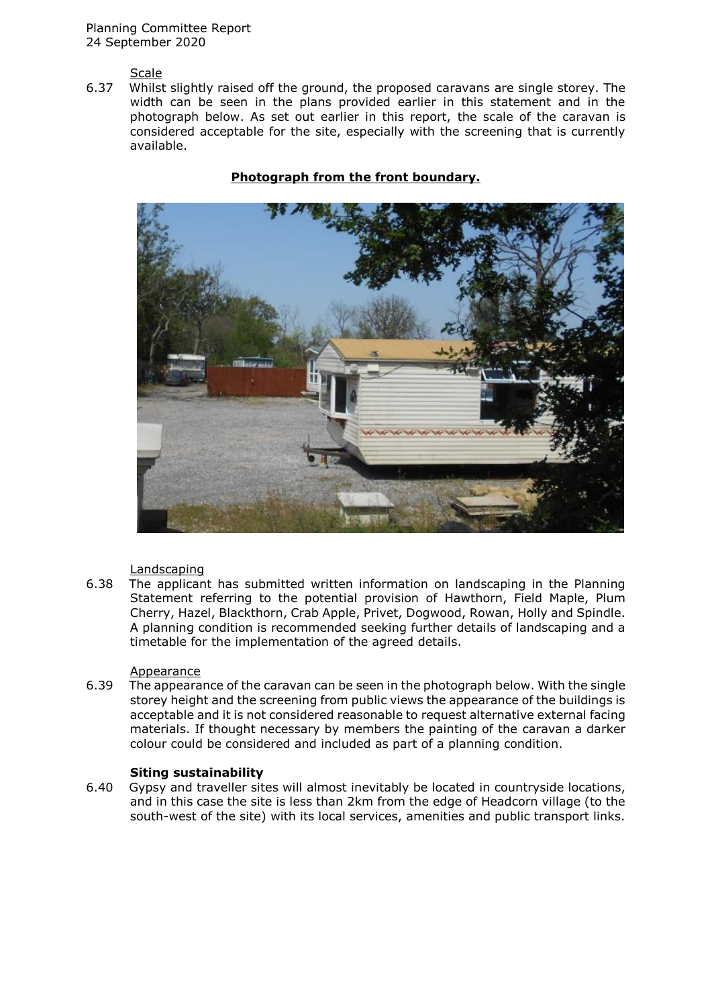Planning Committee Report 24 September 2020

**Scale** 

6.37 Whilst slightly raised off the ground, the proposed caravans are single storey. The width can be seen in the plans provided earlier in this statement and in the photograph below. As set out earlier in this report, the scale of the caravan is considered acceptable for the site, especially with the screening that is currently available.



# **Photograph from the front boundary.**

#### Landscaping

6.38 The applicant has submitted written information on landscaping in the Planning Statement referring to the potential provision of Hawthorn, Field Maple, Plum Cherry, Hazel, Blackthorn, Crab Apple, Privet, Dogwood, Rowan, Holly and Spindle. A planning condition is recommended seeking further details of landscaping and a timetable for the implementation of the agreed details.

#### Appearance

6.39 The appearance of the caravan can be seen in the photograph below. With the single storey height and the screening from public views the appearance of the buildings is acceptable and it is not considered reasonable to request alternative external facing materials. If thought necessary by members the painting of the caravan a darker colour could be considered and included as part of a planning condition.

#### **Siting sustainability**

6.40 Gypsy and traveller sites will almost inevitably be located in countryside locations, and in this case the site is less than 2km from the edge of Headcorn village (to the south-west of the site) with its local services, amenities and public transport links.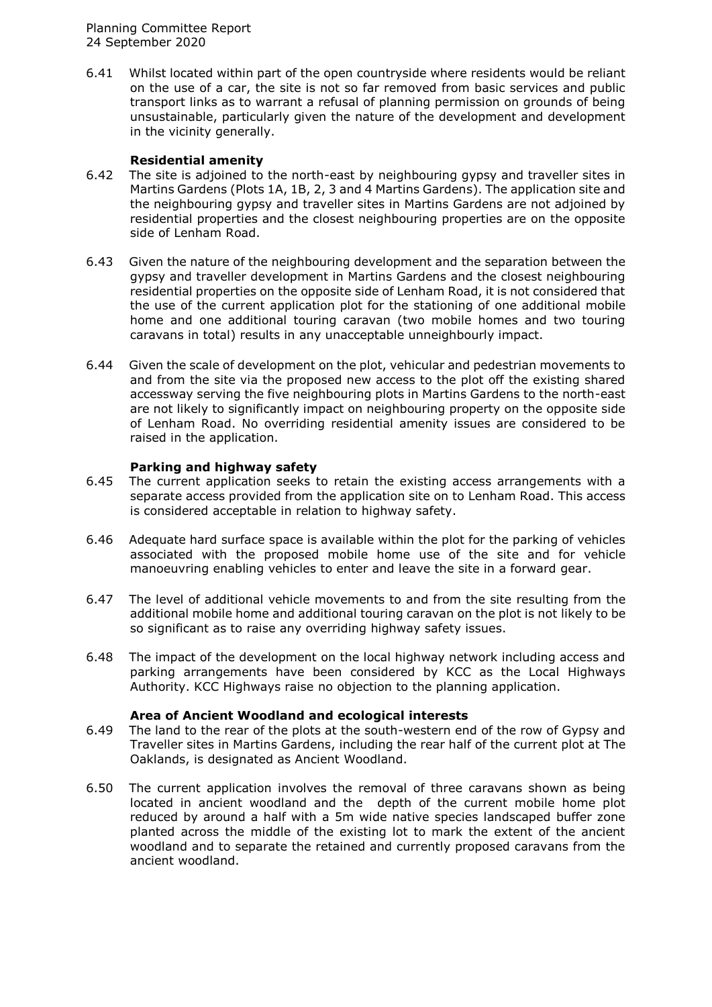Planning Committee Report 24 September 2020

6.41 Whilst located within part of the open countryside where residents would be reliant on the use of a car, the site is not so far removed from basic services and public transport links as to warrant a refusal of planning permission on grounds of being unsustainable, particularly given the nature of the development and development in the vicinity generally.

# **Residential amenity**

- 6.42 The site is adjoined to the north-east by neighbouring gypsy and traveller sites in Martins Gardens (Plots 1A, 1B, 2, 3 and 4 Martins Gardens). The application site and the neighbouring gypsy and traveller sites in Martins Gardens are not adjoined by residential properties and the closest neighbouring properties are on the opposite side of Lenham Road.
- 6.43 Given the nature of the neighbouring development and the separation between the gypsy and traveller development in Martins Gardens and the closest neighbouring residential properties on the opposite side of Lenham Road, it is not considered that the use of the current application plot for the stationing of one additional mobile home and one additional touring caravan (two mobile homes and two touring caravans in total) results in any unacceptable unneighbourly impact.
- 6.44 Given the scale of development on the plot, vehicular and pedestrian movements to and from the site via the proposed new access to the plot off the existing shared accessway serving the five neighbouring plots in Martins Gardens to the north-east are not likely to significantly impact on neighbouring property on the opposite side of Lenham Road. No overriding residential amenity issues are considered to be raised in the application.

#### **Parking and highway safety**

- 6.45 The current application seeks to retain the existing access arrangements with a separate access provided from the application site on to Lenham Road. This access is considered acceptable in relation to highway safety.
- 6.46 Adequate hard surface space is available within the plot for the parking of vehicles associated with the proposed mobile home use of the site and for vehicle manoeuvring enabling vehicles to enter and leave the site in a forward gear.
- 6.47 The level of additional vehicle movements to and from the site resulting from the additional mobile home and additional touring caravan on the plot is not likely to be so significant as to raise any overriding highway safety issues.
- 6.48 The impact of the development on the local highway network including access and parking arrangements have been considered by KCC as the Local Highways Authority. KCC Highways raise no objection to the planning application.

#### **Area of Ancient Woodland and ecological interests**

- 6.49 The land to the rear of the plots at the south-western end of the row of Gypsy and Traveller sites in Martins Gardens, including the rear half of the current plot at The Oaklands, is designated as Ancient Woodland.
- 6.50 The current application involves the removal of three caravans shown as being located in ancient woodland and the depth of the current mobile home plot reduced by around a half with a 5m wide native species landscaped buffer zone planted across the middle of the existing lot to mark the extent of the ancient woodland and to separate the retained and currently proposed caravans from the ancient woodland.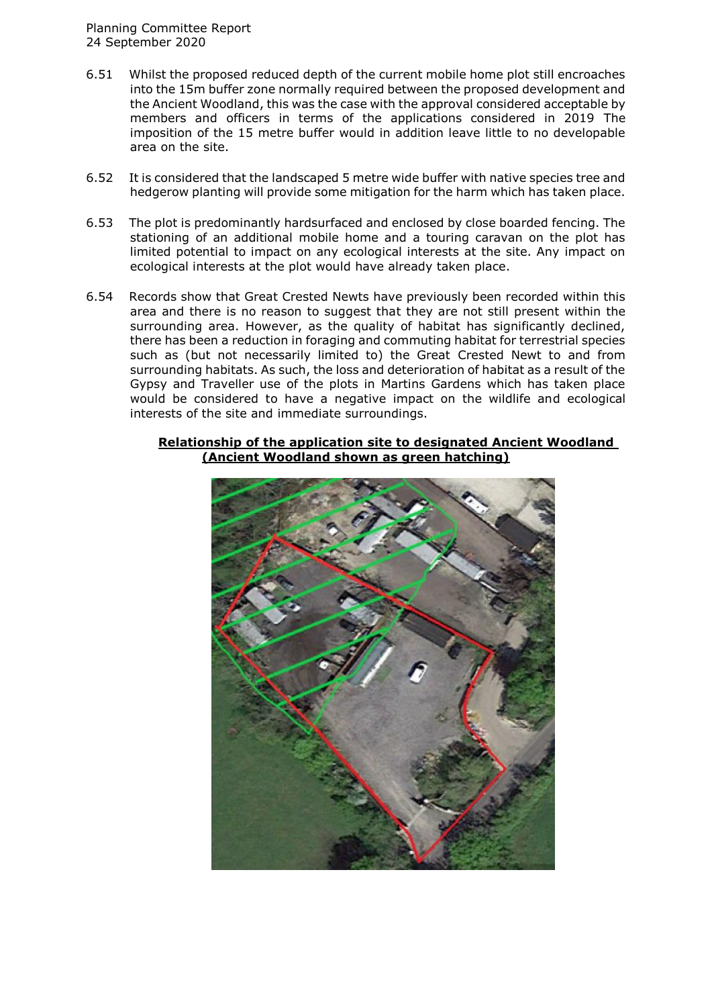- 6.51 Whilst the proposed reduced depth of the current mobile home plot still encroaches into the 15m buffer zone normally required between the proposed development and the Ancient Woodland, this was the case with the approval considered acceptable by members and officers in terms of the applications considered in 2019 The imposition of the 15 metre buffer would in addition leave little to no developable area on the site.
- 6.52 It is considered that the landscaped 5 metre wide buffer with native species tree and hedgerow planting will provide some mitigation for the harm which has taken place.
- 6.53 The plot is predominantly hardsurfaced and enclosed by close boarded fencing. The stationing of an additional mobile home and a touring caravan on the plot has limited potential to impact on any ecological interests at the site. Any impact on ecological interests at the plot would have already taken place.
- 6.54 Records show that Great Crested Newts have previously been recorded within this area and there is no reason to suggest that they are not still present within the surrounding area. However, as the quality of habitat has significantly declined, there has been a reduction in foraging and commuting habitat for terrestrial species such as (but not necessarily limited to) the Great Crested Newt to and from surrounding habitats. As such, the loss and deterioration of habitat as a result of the Gypsy and Traveller use of the plots in Martins Gardens which has taken place would be considered to have a negative impact on the wildlife and ecological interests of the site and immediate surroundings.

#### **Relationship of the application site to designated Ancient Woodland (Ancient Woodland shown as green hatching)**

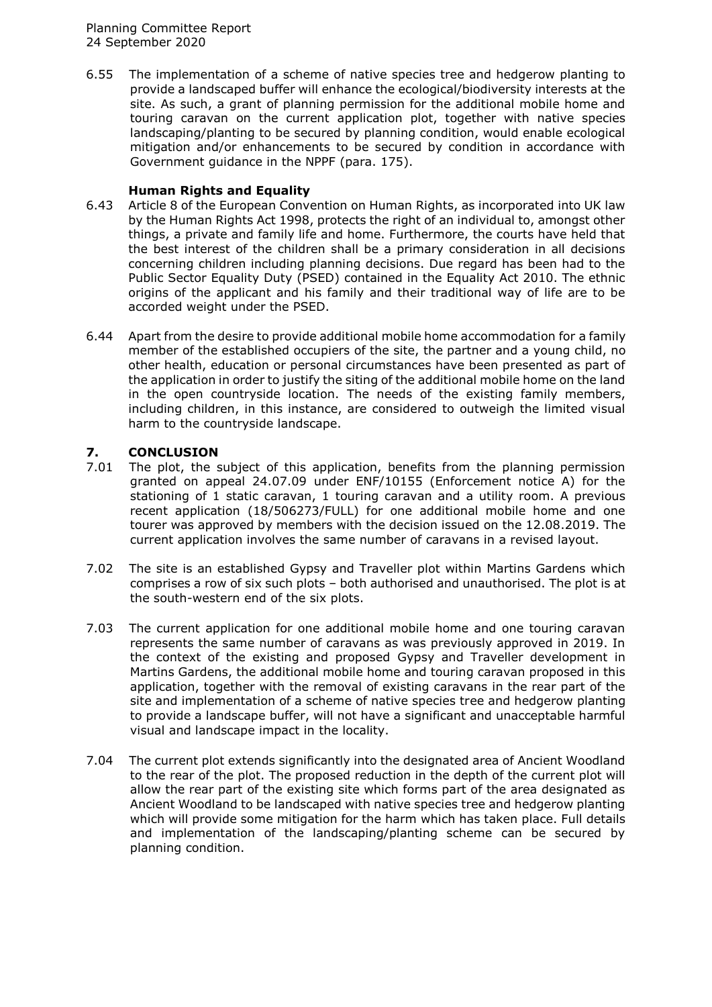6.55 The implementation of a scheme of native species tree and hedgerow planting to provide a landscaped buffer will enhance the ecological/biodiversity interests at the site. As such, a grant of planning permission for the additional mobile home and touring caravan on the current application plot, together with native species landscaping/planting to be secured by planning condition, would enable ecological mitigation and/or enhancements to be secured by condition in accordance with Government guidance in the NPPF (para. 175).

# **Human Rights and Equality**

- 6.43 Article 8 of the European Convention on Human Rights, as incorporated into UK law by the Human Rights Act 1998, protects the right of an individual to, amongst other things, a private and family life and home. Furthermore, the courts have held that the best interest of the children shall be a primary consideration in all decisions concerning children including planning decisions. Due regard has been had to the Public Sector Equality Duty (PSED) contained in the Equality Act 2010. The ethnic origins of the applicant and his family and their traditional way of life are to be accorded weight under the PSED.
- 6.44 Apart from the desire to provide additional mobile home accommodation for a family member of the established occupiers of the site, the partner and a young child, no other health, education or personal circumstances have been presented as part of the application in order to justify the siting of the additional mobile home on the land in the open countryside location. The needs of the existing family members, including children, in this instance, are considered to outweigh the limited visual harm to the countryside landscape.

# **7. CONCLUSION**

- 7.01 The plot, the subject of this application, benefits from the planning permission granted on appeal 24.07.09 under ENF/10155 (Enforcement notice A) for the stationing of 1 static caravan, 1 touring caravan and a utility room. A previous recent application (18/506273/FULL) for one additional mobile home and one tourer was approved by members with the decision issued on the 12.08.2019. The current application involves the same number of caravans in a revised layout.
- 7.02 The site is an established Gypsy and Traveller plot within Martins Gardens which comprises a row of six such plots – both authorised and unauthorised. The plot is at the south-western end of the six plots.
- 7.03 The current application for one additional mobile home and one touring caravan represents the same number of caravans as was previously approved in 2019. In the context of the existing and proposed Gypsy and Traveller development in Martins Gardens, the additional mobile home and touring caravan proposed in this application, together with the removal of existing caravans in the rear part of the site and implementation of a scheme of native species tree and hedgerow planting to provide a landscape buffer, will not have a significant and unacceptable harmful visual and landscape impact in the locality.
- 7.04 The current plot extends significantly into the designated area of Ancient Woodland to the rear of the plot. The proposed reduction in the depth of the current plot will allow the rear part of the existing site which forms part of the area designated as Ancient Woodland to be landscaped with native species tree and hedgerow planting which will provide some mitigation for the harm which has taken place. Full details and implementation of the landscaping/planting scheme can be secured by planning condition.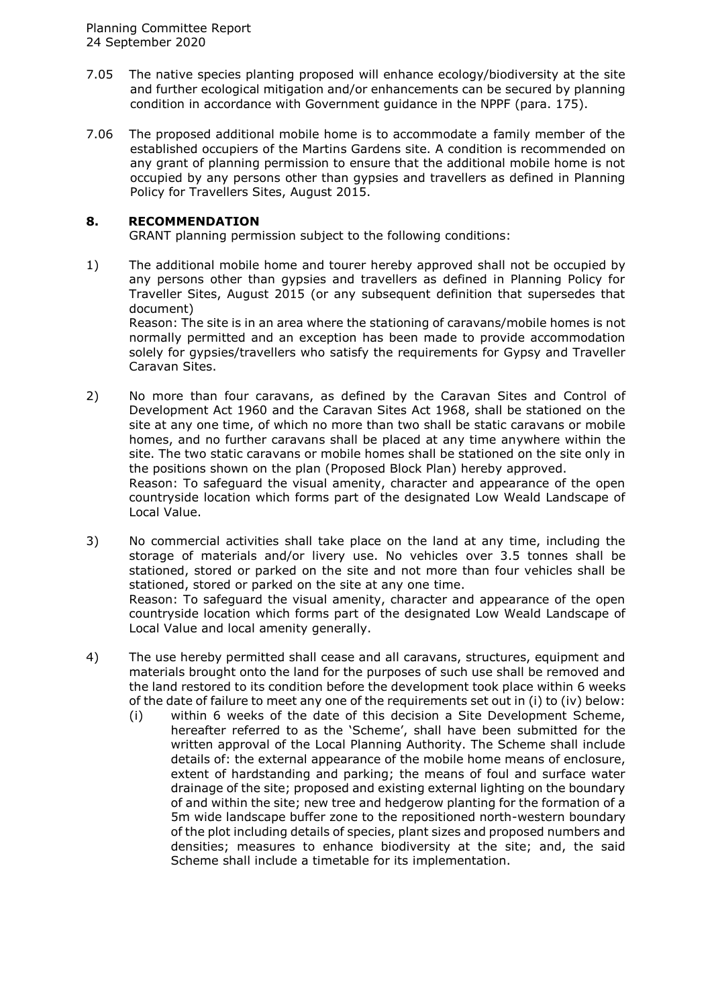- 7.05 The native species planting proposed will enhance ecology/biodiversity at the site and further ecological mitigation and/or enhancements can be secured by planning condition in accordance with Government guidance in the NPPF (para. 175).
- 7.06 The proposed additional mobile home is to accommodate a family member of the established occupiers of the Martins Gardens site. A condition is recommended on any grant of planning permission to ensure that the additional mobile home is not occupied by any persons other than gypsies and travellers as defined in Planning Policy for Travellers Sites, August 2015.

# **8. RECOMMENDATION**

GRANT planning permission subject to the following conditions:

1) The additional mobile home and tourer hereby approved shall not be occupied by any persons other than gypsies and travellers as defined in Planning Policy for Traveller Sites, August 2015 (or any subsequent definition that supersedes that document) Reason: The site is in an area where the stationing of caravans/mobile homes is not normally permitted and an exception has been made to provide accommodation

solely for gypsies/travellers who satisfy the requirements for Gypsy and Traveller Caravan Sites.

- 2) No more than four caravans, as defined by the Caravan Sites and Control of Development Act 1960 and the Caravan Sites Act 1968, shall be stationed on the site at any one time, of which no more than two shall be static caravans or mobile homes, and no further caravans shall be placed at any time anywhere within the site. The two static caravans or mobile homes shall be stationed on the site only in the positions shown on the plan (Proposed Block Plan) hereby approved. Reason: To safeguard the visual amenity, character and appearance of the open countryside location which forms part of the designated Low Weald Landscape of Local Value.
- 3) No commercial activities shall take place on the land at any time, including the storage of materials and/or livery use. No vehicles over 3.5 tonnes shall be stationed, stored or parked on the site and not more than four vehicles shall be stationed, stored or parked on the site at any one time. Reason: To safeguard the visual amenity, character and appearance of the open countryside location which forms part of the designated Low Weald Landscape of Local Value and local amenity generally.
- 4) The use hereby permitted shall cease and all caravans, structures, equipment and materials brought onto the land for the purposes of such use shall be removed and the land restored to its condition before the development took place within 6 weeks of the date of failure to meet any one of the requirements set out in (i) to (iv) below:
	- (i) within 6 weeks of the date of this decision a Site Development Scheme, hereafter referred to as the 'Scheme', shall have been submitted for the written approval of the Local Planning Authority. The Scheme shall include details of: the external appearance of the mobile home means of enclosure, extent of hardstanding and parking; the means of foul and surface water drainage of the site; proposed and existing external lighting on the boundary of and within the site; new tree and hedgerow planting for the formation of a 5m wide landscape buffer zone to the repositioned north-western boundary of the plot including details of species, plant sizes and proposed numbers and densities; measures to enhance biodiversity at the site; and, the said Scheme shall include a timetable for its implementation.